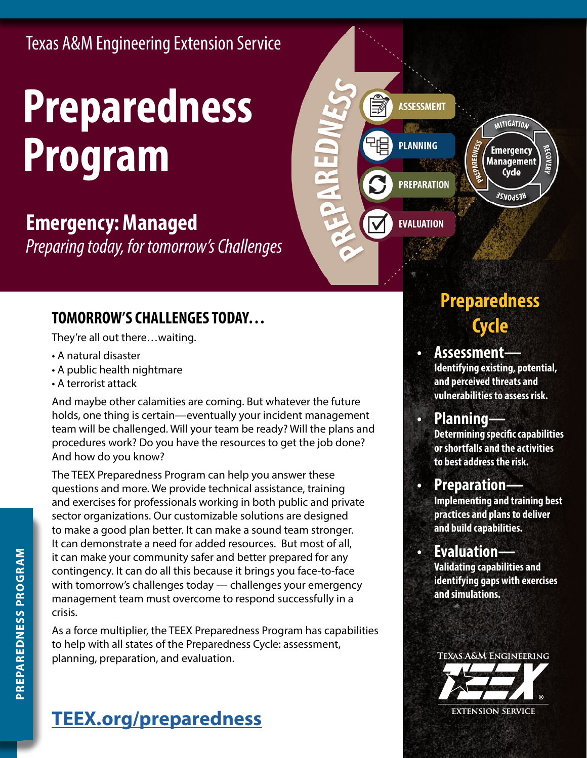Texas A&M Engineering Extension Service

# **Preparedness Program**

## **Emergency: Managed**

*Preparing today, for tomorrow's Challenges*

## **TOMORROW'S CHALLENGES TODAY…**

They're all out there…waiting.

- A natural disaster
- A public health nightmare
- A terrorist attack

And maybe other calamities are coming. But whatever the future holds, one thing is certain—eventually your incident management team will be challenged. Will your team be ready? Will the plans and procedures work? Do you have the resources to get the job done? And how do you know?

The TEEX Preparedness Program can help you answer these questions and more. We provide technical assistance, training and exercises for professionals working in both public and private sector organizations. Our customizable solutions are designed to make a good plan better. It can make a sound team stronger. It can demonstrate a need for added resources. But most of all, it can make your community safer and better prepared for any contingency. It can do all this because it brings you face-to-face with tomorrow's challenges today — challenges your emergency management team must overcome to respond successfully in a crisis.

As a force multiplier, the TEEX Preparedness Program has capabilities to help with all states of the Preparedness Cycle: assessment, planning, preparation, and evaluation.

# **Preparedness Cycle**

**MITIGATION** 

**Emergency** 

**Management** Cycle

**BESPONSE** 

ECOVEI

**ASSESSMENT** 

**PLANNING** 

**PREPARATION** 

**EVALUATION** 

**• Assessment— Identifying existing, potential, and perceived threats and vulnerabilities to assess risk.**

#### **• Planning— Determining specific capabilities or shortfalls and the activities to best address the risk.**

#### **• Preparation— Implementing and training best practices and plans to deliver and build capabilities.**

**• Evaluation— Validating capabilities and identifying gaps with exercises and simulations.** 



# **[TEEX.org/preparedness](http://TEEX.org/preparedness)**